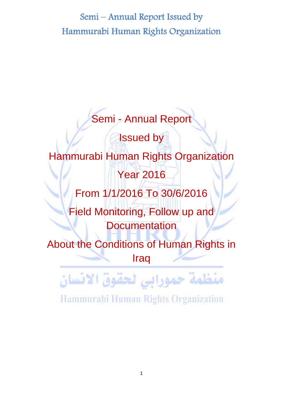

Hammurabi Human Rights Organization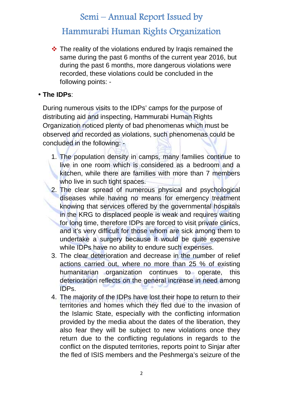# **Hammurabi Human Rights Organization**

 $\cdot$  The reality of the violations endured by Iraqis remained the same during the past 6 months of the current year 2016, but during the past 6 months, more dangerous violations were recorded, these violations could be concluded in the following points: -

#### **The IDPs**:

During numerous visits to the IDPs' camps for the purpose of distributing aid and inspecting, Hammurabi Human Rights Organization noticed plenty of bad phenomenas which must be observed and recorded as violations, such phenomenas could be concluded in the following: -

- 1. The population density in camps, many families continue to live in one room which is considered as a bedroom and a kitchen, while there are families with more than 7 members who live in such tight spaces.
- 2. The clear spread of numerous physical and psychological diseases while having no means for emergency treatment knowing that services offered by the governmental hospitals in the KRG to displaced people is weak and requires waiting for long time, therefore IDPs are forced to visit private clinics, and it's very difficult for those whom are sick among them to undertake a surgery because it would be quite expensive while IDPs have no ability to endure such expenses.
- 3. The clear deterioration and decrease in the number of relief actions carried out, where no more than 25 % of existing humanitarian organization continues to operate, this deterioration reflects on the general increase in need among IDPs.
- 4. The majority of the IDPs have lost their hope to return to their territories and homes which they fled due to the invasion of the Islamic State, especially with the conflicting information provided by the media about the dates of the liberation, they also fear they will be subject to new violations once they return due to the conflicting regulations in regards to the conflict on the disputed territories, reports point to Sinjar after the fled of ISIS members and the Peshmerga's seizure of the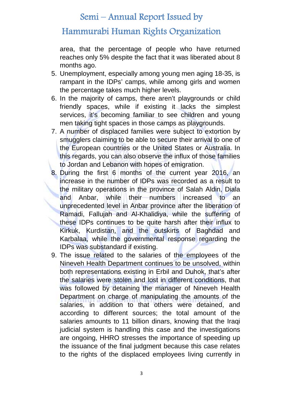### **Hammurabi Human Rights Organization**

area, that the percentage of people who have returned reaches only 5% despite the fact that it was liberated about 8 months ago.

- 5. Unemployment, especially among young men aging 18-35, is rampant in the IDPs' camps, while among girls and women the percentage takes much higher levels.
- 6. In the majority of camps, there aren't playgrounds or child friendly spaces, while if existing it lacks the simplest services, it's becoming familiar to see children and young men taking tight spaces in those camps as playgrounds.
- 7. A number of displaced families were subject to extortion by smugglers claiming to be able to secure their arrival to one of the European countries or the United States or Australia. In this regards, you can also observe the influx of those families to Jordan and Lebanon with hopes of emigration.
- 8. During the first 6 months of the current year 2016, an increase in the number of IDPs was recorded as a result to the military operations in the province of Salah Aldin, Diala and Anbar, while their numbers increased to an unprecedented level in Anbar province after the liberation of Ramadi, Fallujah and Al-Khalidiya, while the suffering of these IDPs continues to be quite harsh after their influx to Kirkuk, Kurdistan, and the outskirts of Baghdad and Karbalaa, while the governmental response regarding the IDPs was substandard if existing.
- 9. The issue related to the salaries of the employees of the Nineveh Health Department continues to be unsolved, within both representations existing in Erbil and Duhok, that's after the salaries were stolen and lost in different conditions, that was followed by detaining the manager of Nineveh Health Department on charge of manipulating the amounts of the salaries, in addition to that others were detained, and according to different sources; the total amount of the salaries amounts to 11 billion dinars, knowing that the Iraqi judicial system is handling this case and the investigations are ongoing, HHRO stresses the importance of speeding up the issuance of the final judgment because this case relates to the rights of the displaced employees living currently in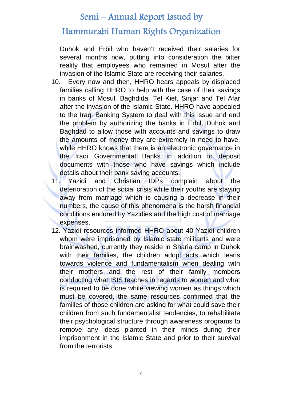### **Hammurabi Human Rights Organization**

Duhok and Erbil who haven't received their salaries for several months now, putting into consideration the bitter reality that employees who remained in Mosul after the invasion of the Islamic State are receiving their salaries.

- 10. Every now and then, HHRO hears appeals by displaced families calling HHRO to help with the case of their savings in banks of Mosul, Baghdida, Tel Kief, Sinjar and Tel Afar after the invasion of the Islamic State. HHRO have appealed to the Iraqi Banking System to deal with this issue and end the problem by authorizing the banks in Erbil, Duhok and Baghdad to allow those with accounts and savings to draw the amounts of money they are extremely in need to have, while HHRO knows that there is an electronic governance in the Iraqi Governmental Banks in addition to deposit documents with those who have savings which include details about their bank saving accounts.
- 11. Yazidi and Christian IDPs complain about the deterioration of the social crisis while their youths are staying away from marriage which is causing a decrease in their numbers, the cause of this phenomena is the harsh financial conditions endured by Yazidies and the high cost of marriage expenses.
- 12. Yazidi resources informed HHRO about 40 Yazidi children whom were imprisoned by Islamic state militants and were brainwashed, currently they reside in Sharia camp in Duhok with their families, the children adopt acts which leans towards violence and fundamentalism when dealing with their mothers and the rest of their family members conducting what ISIS teaches in regards to women and what is required to be done while viewing women as things which must be covered, the same resources confirmed that the families of those children are asking for what could save their children from such fundamentalist tendencies, to rehabilitate their psychological structure through awareness programs to remove any ideas planted in their minds during their imprisonment in the Islamic State and prior to their survival from the terrorists.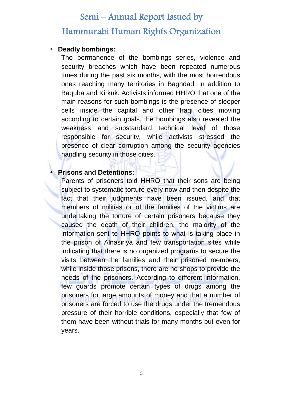#### **Deadly bombings:**

The permanence of the bombings series, violence and security breaches which have been repeated numerous times during the past six months, with the most horrendous ones reaching many territories in Baghdad, in addition to Baquba and Kirkuk. Activists informed HHRO that one of the main reasons for such bombings is the presence of sleeper cells inside the capital and other Iraqi cities moving according to certain goals, the bombings also revealed the weakness and substandard technical level of those responsible for security, while activists stressed the presence of clear corruption among the security agencies handling security in those cities.

#### **Prisons and Detentions:**

Parents of prisoners told HHRO that their sons are being subject to systematic torture every now and then despite the fact that their judgments have been issued, and that members of militias or of the families of the victims are undertaking the torture of certain prisoners because they caused the death of their children, the majority of the information sent to HHRO points to what is taking place in the prison of Alnasiriya and few transportation sites while indicating that there is no organized programs to secure the visits between the families and their prisoned members, while inside those prisons, there are no shops to provide the needs of the prisoners. According to different information, few guards promote certain types of drugs among the prisoners for large amounts of money and that a number of prisoners are forced to use the drugs under the tremendous pressure of their horrible conditions, especially that few of them have been without trials for many months but even for years.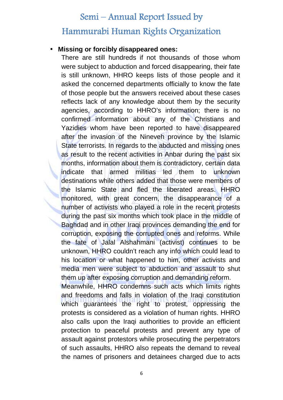#### **Missing or forcibly disappeared ones:**

There are still hundreds if not thousands of those whom were subject to abduction and forced disappearing, their fate is still unknown, HHRO keeps lists of those people and it asked the concerned departments officially to know the fate of those people but the answers received about these cases reflects lack of any knowledge about them by the security agencies, according to HHRO's information; there is no confirmed information about any of the Christians and Yazidies whom have been reported to have disappeared after the invasion of the Nineveh province by the Islamic State terrorists. In regards to the abducted and missing ones as result to the recent activities in Anbar during the past six months, information about them is contradictory, certain data indicate that armed militias led them to unknown destinations while others added that those were members of the Islamic State and fled the liberated areas. HHRO monitored, with great concern, the disappearance of a number of activists who played a role in the recent protests during the past six months which took place in the middle of Baghdad and in other Iraqi provinces demanding the end for corruption, exposing the corrupted ones and reforms. While the fate of Jalal Alshahmani (activist) continues to be unknown, HHRO couldn't reach any info which could lead to his location or what happened to him, other activists and media men were subject to abduction and assault to shut them up after exposing corruption and demanding reform.

Meanwhile, HHRO condemns such acts which limits rights and freedoms and falls in violation of the Iraqi constitution which quarantees the right to protest, oppressing the protests is considered as a violation of human rights. HHRO also calls upon the Iraqi authorities to provide an efficient protection to peaceful protests and prevent any type of assault against protestors while prosecuting the perpetrators of such assaults, HHRO also repeats the demand to reveal the names of prisoners and detainees charged due to acts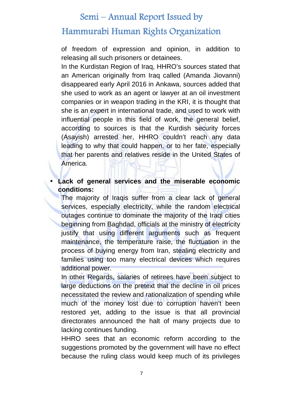# **Hammurabi Human Rights Organization**

of freedom of expression and opinion, in addition to releasing all such prisoners or detainees.

In the Kurdistan Region of Iraq, HHRO's sources stated that an American originally from Iraq called (Amanda Jiovanni) disappeared early April 2016 in Ankawa, sources added that she used to work as an agent or lawyer at an oil investment companies or in weapon trading in the KRI, it is thought that she is an expert in international trade, and used to work with influential people in this field of work, the general belief, according to sources is that the Kurdish security forces (Asayish) arrested her, HHRO couldn't reach any data leading to why that could happen, or to her fate, especially that her parents and relatives reside in the United States of America.

#### **Lack of general services and the miserable economic conditions:**

The majority of Iraqis suffer from a clear lack of general services, especially electricity, while the random electrical outages continue to dominate the majority of the Iraqi cities beginning from Baghdad, officials at the ministry of electricity justify that using different arguments such as frequent maintenance, the temperature raise, the fluctuation in the process of buying energy from Iran, stealing electricity and families using too many electrical devices which requires additional power.

In other Regards, salaries of retirees have been subject to large deductions on the pretext that the decline in oil prices necessitated the review and rationalization of spending while much of the money lost due to corruption haven't been restored yet, adding to the issue is that all provincial directorates announced the halt of many projects due to lacking continues funding.

HHRO sees that an economic reform according to the suggestions promoted by the government will have no effect because the ruling class would keep much of its privileges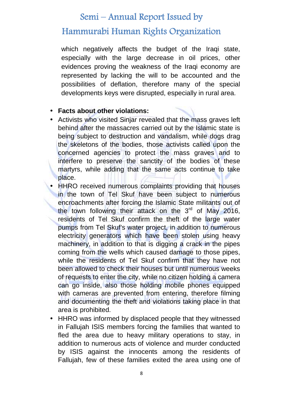### **Hammurabi Human Rights Organization**

which negatively affects the budget of the Iraqi state, especially with the large decrease in oil prices, other evidences proving the weakness of the Iraqi economy are represented by lacking the will to be accounted and the possibilities of deflation, therefore many of the special developments keys were disrupted, especially in rural area.

#### **Facts about other violations:**

- Activists who visited Sinjar revealed that the mass graves left behind after the massacres carried out by the Islamic state is being subject to destruction and vandalism, while dogs drag the skeletons of the bodies, those activists called upon the concerned agencies to protect the mass graves and to interfere to preserve the sanctity of the bodies of these martyrs, while adding that the same acts continue to take place.
- HHRO received numerous complaints providing that houses in the town of Tel Skuf have been subject to numerous encroachments after forcing the Islamic State militants out of the town following their attack on the  $3<sup>rd</sup>$  of May 2016, residents of Tel Skuf confirm the theft of the large water pumps from Tel Skuf's water project, in addition to numerous electricity generators which have been stolen using heavy machinery, in addition to that is digging a crack in the pipes coming from the wells which caused damage to those pipes, while the residents of Tel Skuf confirm that they have not been allowed to check their houses but until numerous weeks of requests to enter the city, while no citizen holding a camera can go inside, also those holding mobile phones equipped with cameras are prevented from entering, therefore filming and documenting the theft and violations taking place in that area is prohibited.
- HHRO was informed by displaced people that they witnessed in Fallujah ISIS members forcing the families that wanted to fled the area due to heavy military operations to stay, in addition to numerous acts of violence and murder conducted by ISIS against the innocents among the residents of Fallujah, few of these families exited the area using one of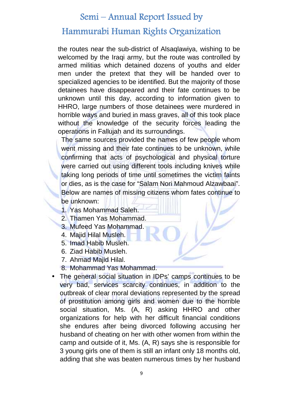#### **Hammurabi Human Rights Organization**

the routes near the sub-district of Alsaqlawiya, wishing to be welcomed by the Iraqi army, but the route was controlled by armed militias which detained dozens of youths and elder men under the pretext that they will be handed over to specialized agencies to be identified. But the majority of those detainees have disappeared and their fate continues to be unknown until this day, according to information given to HHRO, large numbers of those detainees were murdered in horrible ways and buried in mass graves, all of this took place without the knowledge of the security forces leading the operations in Fallujah and its surroundings.

The same sources provided the names of few people whom went missing and their fate continues to be unknown, while confirming that acts of psychological and physical torture were carried out using different tools including knives while taking long periods of time until sometimes the victim faints or dies, as is the case for "Salam Nori Mahmoud Alzawbaai". Below are names of missing citizens whom fates continue to be unknown:

- 1. Yas Mohammad Saleh.
- 2. Thamen Yas Mohammad.
- 3. Mufeed Yas Mohammad.
- 4. Majid Hilal Musleh.
- 5. Imad Habib Musleh.
- 6. Ziad Habib Musleh.
- 7. Ahmad Majid Hilal.
- 8. Mohammad Yas Mohammad.
- The general social situation in IDPs' camps continues to be very bad, services scarcity continues, in addition to the outbreak of clear moral deviations represented by the spread of prostitution among girls and women due to the horrible social situation, Ms. (A, R) asking HHRO and other organizations for help with her difficult financial conditions she endures after being divorced following accusing her husband of cheating on her with other women from within the camp and outside of it, Ms. (A, R) says she is responsible for 3 young girls one of them is still an infant only 18 months old, adding that she was beaten numerous times by her husband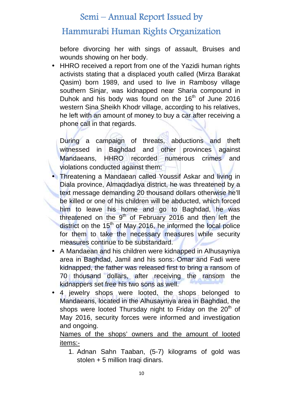### **Hammurabi Human Rights Organization**

before divorcing her with sings of assault, Bruises and wounds showing on her body.

• HHRO received a report from one of the Yazidi human rights activists stating that a displaced youth called (Mirza Barakat Qasim) born 1989, and used to live in Rambosy village southern Sinjar, was kidnapped near Sharia compound in Duhok and his body was found on the  $16<sup>th</sup>$  of June 2016 western Sina Sheikh Khodr village, according to his relatives, he left with an amount of money to buy a car after receiving a phone call in that regards.

During a campaign of threats, abductions and theft witnessed in Baghdad and other provinces against Mandaeans, HHRO recorded numerous crimes and violations conducted against them:

- Threatening a Mandaean called Youssif Askar and living in Diala province, Almaqdadiya district, he was threatened by a text message demanding 20 thousand dollars otherwise he'll be killed or one of his children will be abducted, which forced him to leave his home and go to Baghdad, he was threatened on the  $9<sup>th</sup>$  of February 2016 and then left the district on the  $15<sup>th</sup>$  of May 2016, he informed the local police for them to take the necessary measures while security measures continue to be substandard.
- A Mandaean and his children were kidnapped in Alhusayniya area in Baghdad, Jamil and his sons: Omar and Fadi were kidnapped, the father was released first to bring a ransom of 70 thousand dollars, after receiving the ransom the kidnappers set free his two sons as well.
- 4 jewelry shops were looted, the shops belonged to Mandaeans, located in the Alhusayniya area in Baghdad, the shops were looted Thursday night to Friday on the  $20<sup>th</sup>$  of May 2016, security forces were informed and investigation and ongoing.

Names of the shops' owners and the amount of looted items:-

1. Adnan Sahn Taaban, (5-7) kilograms of gold was stolen + 5 million Iraqi dinars.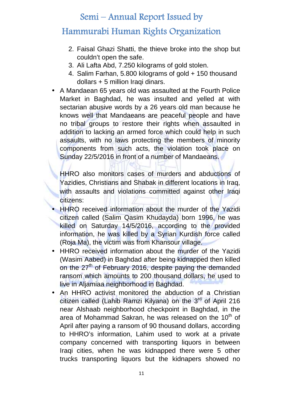# **Hammurabi Human Rights Organization**

- 2. Faisal Ghazi Shatti, the thieve broke into the shop but couldn't open the safe.
- 3. Ali Lafta Abd, 7.250 kilograms of gold stolen.
- 4. Salim Farhan, 5.800 kilograms of gold + 150 thousand dollars + 5 million Iraqi dinars.
- A Mandaean 65 years old was assaulted at the Fourth Police Market in Baghdad, he was insulted and yelled at with sectarian abusive words by a 26 years old man because he knows well that Mandaeans are peaceful people and have no tribal groups to restore their rights when assaulted in addition to lacking an armed force which could help in such assaults, with no laws protecting the members of minority components from such acts, the violation took place on Sunday 22/5/2016 in front of a number of Mandaeans.

HHRO also monitors cases of murders and abductions of Yazidies, Christians and Shabak in different locations in Iraq, with assaults and violations committed against other Iraqi citizens:

- HHRO received information about the murder of the Yazidi citizen called (Salim Qasim Khudayda) born 1996, he was killed on Saturday 14/5/2016, according to the provided information, he was killed by a Syrian Kurdish force called (Roja Ma), the victim was from Khansour village.
- HHRO received information about the murder of the Yazidi (Wasim Aabed) in Baghdad after being kidnapped then killed on the 27<sup>th</sup> of February 2016, despite paying the demanded ransom which amounts to 200 thousand dollars, he used to live in Aljamiaa neighborhood in Baghdad.
- An HHRO activist monitored the abduction of a Christian citizen called (Lahib Ramzi Kilyana) on the 3<sup>rd</sup> of April 216 near Alshaab neighborhood checkpoint in Baghdad, in the area of Mohammad Sakran, he was released on the 10<sup>th</sup> of April after paying a ransom of 90 thousand dollars, according to HHRO's information, Lahim used to work at a private company concerned with transporting liquors in between Iraqi cities, when he was kidnapped there were 5 other trucks transporting liquors but the kidnapers showed no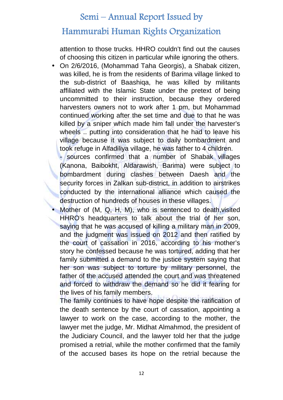#### **Hammurabi Human Rights Organization**

attention to those trucks. HHRO couldn't find out the causes of choosing this citizen in particular while ignoring the others.

 On 2/6/2016, (Mohammad Taha Georgis), a Shabak citizen, was killed, he is from the residents of Barima village linked to the sub-district of Baashiqa, he was killed by militants affiliated with the Islamic State under the pretext of being uncommitted to their instruction, because they ordered harvesters owners not to work after 1 pm, but Mohammad continued working after the set time and due to that he was killed by a sniper which made him fall under the harvester's wheels ... putting into consideration that he had to leave his village because it was subject to daily bombardment and took refuge in Alfadiliya village, he was father to 4 children.

sources confirmed that a number of Shabak villages (Kanona, Baibokht, Aldarawish, Barima) were subject to bombardment during clashes between Daesh and the security forces in Zalkan sub-district, in addition to airstrikes conducted by the international alliance which caused the destruction of hundreds of houses in these villages.

Mother of (M, Q, H, M), who is sentenced to death, visited HHRO's headquarters to talk about the trial of her son, saying that he was accused of killing a military man in 2009, and the judgment was issued on 2012 and then ratified by the court of cassation in 2016, according to his mother's story he confessed because he was tortured, adding that her family submitted a demand to the justice system saying that her son was subject to torture by military personnel, the father of the accused attended the court and was threatened and forced to withdraw the demand so he did it fearing for the lives of his family members.

The family continues to have hope despite the ratification of the death sentence by the court of cassation, appointing a lawyer to work on the case, according to the mother, the lawyer met the judge, Mr. Midhat Almahmod, the president of the Judiciary Council, and the lawyer told her that the judge promised a retrial, while the mother confirmed that the family of the accused bases its hope on the retrial because the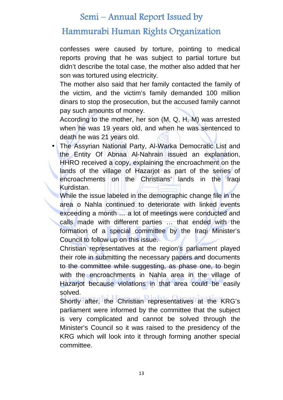### **Hammurabi Human Rights Organization**

confesses were caused by torture, pointing to medical reports proving that he was subject to partial torture but didn't describe the total case, the mother also added that her son was tortured using electricity.

The mother also said that her family contacted the family of the victim, and the victim's family demanded 100 million dinars to stop the prosecution, but the accused family cannot pay such amounts of money.

According to the mother, her son (M, Q, H, M) was arrested when he was 19 years old, and when he was sentenced to death he was 21 years old.

 The Assyrian National Party, Al-Warka Democratic List and the Entity Of Abnaa Al-Nahrain issued an explanation, HHRO received a copy, explaining the encroachment on the lands of the village of Hazarjot as part of the series of encroachments on the Christians' lands in the Iraqi Kurdistan.

While the issue labeled in the demographic change file in the area o Nahla continued to deteriorate with linked events exceeding a month … a lot of meetings were conducted and calls made with different parties … that ended with the formation of a special committee by the Iraqi Minister's Council to follow up on this issue.

Christian representatives at the region's parliament played their role in submitting the necessary papers and documents to the committee while suggesting, as phase one, to begin with the encroachments in Nahla area in the village of Hazarjot because violations in that area could be easily solved.

Shortly after, the Christian representatives at the KRG's parliament were informed by the committee that the subject is very complicated and cannot be solved through the Minister's Council so it was raised to the presidency of the KRG which will look into it through forming another special committee.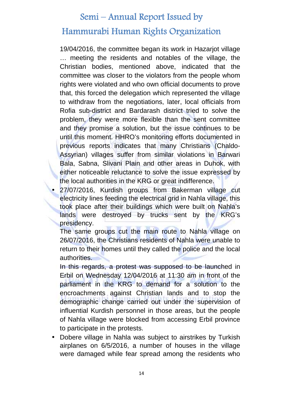# **Hammurabi Human Rights Organization**

19/04/2016, the committee began its work in Hazarjot village … meeting the residents and notables of the village, the Christian bodies, mentioned above, indicated that the committee was closer to the violators from the people whom rights were violated and who own official documents to prove that, this forced the delegation which represented the village to withdraw from the negotiations, later, local officials from Rofia sub-district and Bardarash district tried to solve the problem, they were more flexible than the sent committee and they promise a solution, but the issue continues to be until this moment. HHRO's monitoring efforts documented in previous reports indicates that many Christians (Chaldo- Assyrian) villages suffer from similar violations in Barwari Bala, Sabna, Slivani Plain and other areas in Duhok, with either noticeable reluctance to solve the issue expressed by the local authorities in the KRG or great indifference.

 27/07/2016, Kurdish groups from Bakerman village cut electricity lines feeding the electrical grid in Nahla village, this took place after their buildings which were built on Nahla's lands were destroyed by trucks sent by the KRG's presidency.

The same groups cut the main route to Nahla village on 26/07/2016, the Christians residents of Nahla were unable to return to their homes until they called the police and the local authorities.

In this regards, a protest was supposed to be launched in Erbil on Wednesday 12/04/2016 at 11:30 am in front of the parliament in the KRG to demand for a solution to the encroachments against Christian lands and to stop the demographic change carried out under the supervision of influential Kurdish personnel in those areas, but the people of Nahla village were blocked from accessing Erbil province to participate in the protests.

 Dobere village in Nahla was subject to airstrikes by Turkish airplanes on 6/5/2016, a number of houses in the village were damaged while fear spread among the residents who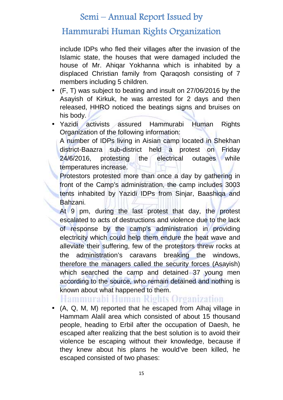### **Hammurabi Human Rights Organization**

include IDPs who fled their villages after the invasion of the Islamic state, the houses that were damaged included the house of Mr. Ahiqar Yokhanna which is inhabited by a displaced Christian family from Qaraqosh consisting of 7 members including 5 children.

- (F, T) was subject to beating and insult on 27/06/2016 by the Asayish of Kirkuk, he was arrested for 2 days and then released, HHRO noticed the beatings signs and bruises on his body.
- Yazidi activists assured Hammurabi Human Rights Organization of the following information:

A number of IDPs living in Aisian camp located in Shekhan district-Baazra sub-district held a protest on Friday 24/6/2016, protesting the electrical outages while temperatures increase.

Protestors protested more than once a day by gathering in front of the Camp's administration, the camp includes 3003 tents inhabited by Yazidi IDPs from Sinjar, Baashiqa and Bahzani.

At 9 pm, during the last protest that day, the protest escalated to acts of destructions and violence due to the lack of response by the camp's administration in providing electricity which could help them endure the heat wave and alleviate their suffering, few of the protestors threw rocks at the administration's caravans breaking the windows, therefore the managers called the security forces (Asayish) which searched the camp and detained 37 young men according to the source, who remain detained and nothing is known about what happened to them.

### Hammurabi Human Rights Organization

 (A, Q, M, M) reported that he escaped from Alhaj village in Hammam Alalil area which consisted of about 15 thousand people, heading to Erbil after the occupation of Daesh, he escaped after realizing that the best solution is to avoid their violence be escaping without their knowledge, because if they knew about his plans he would've been killed, he escaped consisted of two phases: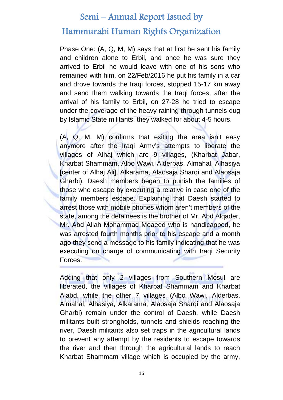#### **Hammurabi Human Rights Organization**

Phase One: (A, Q, M, M) says that at first he sent his family and children alone to Erbil, and once he was sure they arrived to Erbil he would leave with one of his sons who remained with him, on 22/Feb/2016 he put his family in a car and drove towards the Iraqi forces, stopped 15-17 km away and send them walking towards the Iraqi forces, after the arrival of his family to Erbil, on 27-28 he tried to escape under the coverage of the heavy raining through tunnels dug by Islamic State militants, they walked for about 4-5 hours.

(A, Q, M, M) confirms that exiting the area isn't easy anymore after the Iraqi Army's attempts to liberate the villages of Alhaj which are 9 villages, (Kharbat Jabar, Kharbat Shammam, Albo Wawi, Alderbas, Almahal, Alhasiya [center of Alhaj Ali], Alkarama, Alaosaja Sharqi and Alaosaja Gharbi), Daesh members began to punish the families of those who escape by executing a relative in case one of the family members escape. Explaining that Daesh started to arrest those with mobile phones whom aren't members of the state, among the detainees is the brother of Mr. Abd Alqader, Mr. Abd Allah Mohammad Moaeed who is handicapped, he was arrested fourth months prior to his escape and a month ago they send a message to his family indicating that he was executing on charge of communicating with Iraqi Security Forces.

Adding that only 2 villages from Southern Mosul are liberated, the villages of Kharbat Shammam and Kharbat Alabd, while the other 7 villages (Albo Wawi, Alderbas, Almahal, Alhasiya, Alkarama, Alaosaja Sharqi and Alaosaja Gharbi) remain under the control of Daesh, while Daesh militants built strongholds, tunnels and shields reaching the river, Daesh militants also set traps in the agricultural lands to prevent any attempt by the residents to escape towards the river and then through the agricultural lands to reach Kharbat Shammam village which is occupied by the army,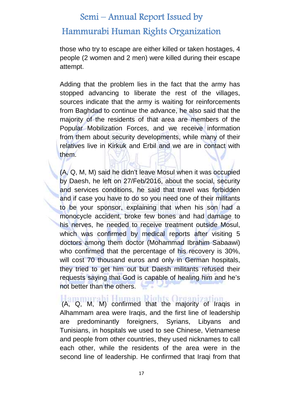#### **Hammurabi Human Rights Organization**

those who try to escape are either killed or taken hostages, 4 people (2 women and 2 men) were killed during their escape attempt.

Adding that the problem lies in the fact that the army has stopped advancing to liberate the rest of the villages, sources indicate that the army is waiting for reinforcements from Baghdad to continue the advance, he also said that the majority of the residents of that area are members of the Popular Mobilization Forces, and we receive information from them about security developments, while many of their relatives live in Kirkuk and Erbil and we are in contact with them.

(A, Q, M, M) said he didn't leave Mosul when it was occupied by Daesh, he left on 27/Feb/2016, about the social, security and services conditions, he said that travel was forbidden and if case you have to do so you need one of their militants to be your sponsor, explaining that when his son had a monocycle accident, broke few bones and had damage to his nerves, he needed to receive treatment outside Mosul, which was confirmed by medical reports after visiting 5 doctors among them doctor (Mohammad Ibrahim Sabaawi) who confirmed that the percentage of his recovery is 30%, will cost 70 thousand euros and only in German hospitals, they tried to get him out but Daesh militants refused their requests saying that God is capable of healing him and he's not better than the others.

(A, Q, M, M) confirmed that the majority of Iraqis in Alhammam area were Iraqis, and the first line of leadership are predominantly foreigners, Syrians, Libyans and Tunisians, in hospitals we used to see Chinese, Vietnamese and people from other countries, they used nicknames to call each other, while the residents of the area were in the second line of leadership. He confirmed that Iraqi from that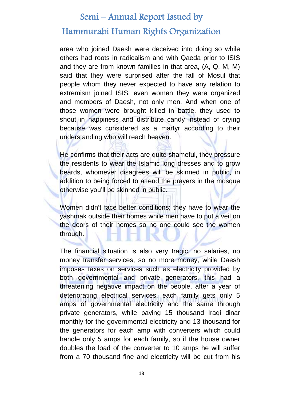#### **Hammurabi Human Rights Organization**

area who joined Daesh were deceived into doing so while others had roots in radicalism and with Qaeda prior to ISIS and they are from known families in that area, (A, Q, M, M) said that they were surprised after the fall of Mosul that people whom they never expected to have any relation to extremism joined ISIS, even women they were organized and members of Daesh, not only men. And when one of those women were brought killed in battle, they used to shout in happiness and distribute candy instead of crying because was considered as a martyr according to their understanding who will reach heaven.

He confirms that their acts are quite shameful, they pressure the residents to wear the Islamic long dresses and to grow beards, whomever disagrees will be skinned in public, in addition to being forced to attend the prayers in the mosque otherwise you'll be skinned in public.

Women didn't face better conditions; they have to wear the yashmak outside their homes while men have to put a veil on the doors of their homes so no one could see the women through.

The financial situation is also very tragic, no salaries, no money transfer services, so no more money, while Daesh imposes taxes on services such as electricity provided by both governmental and private generators, this had a threatening negative impact on the people, after a year of deteriorating electrical services, each family gets only 5 amps of governmental electricity and the same through private generators, while paying 15 thousand Iraqi dinar monthly for the governmental electricity and 13 thousand for the generators for each amp with converters which could handle only 5 amps for each family, so if the house owner doubles the load of the converter to 10 amps he will suffer from a 70 thousand fine and electricity will be cut from his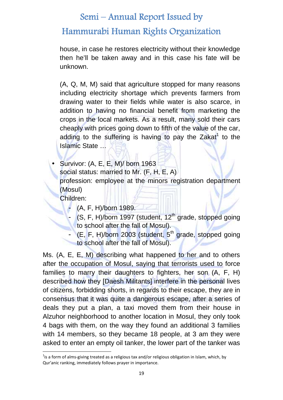**Hammurabi Human Rights Organization**

house, in case he restores electricity without their knowledge then he'll be taken away and in this case his fate will be unknown.

(A, Q, M, M) said that agriculture stopped for many reasons including electricity shortage which prevents farmers from drawing water to their fields while water is also scarce, in addition to having no financial benefit from marketing the crops in the local markets. As a result, many sold their cars cheaply with prices going down to fifth of the value of the car, adding to the suffering is having to pay the Zakat<sup>1</sup> to the Islamic State …

 Survivor: (A, E, E, M)/ born 1963 social status: married to Mr. (F, H, E, A) profession: employee at the minors registration department (Mosul)

Children:

- (A, F, H)/born 1989.
- (S, F, H)/born 1997 (student, 12<sup>th</sup> grade, stopped going to school after the fall of Mosul).
- $(E, F, H)/$ born 2003 (student,  $5<sup>th</sup>$  grade, stopped going to school after the fall of Mosul).

Ms. (A, E, E, M) describing what happened to her and to others after the occupation of Mosul, saying that terrorists used to force families to marry their daughters to fighters, her son (A, F, H) described how they [Daesh Militants] interfere in the personal lives of citizens, forbidding shorts, in regards to their escape, they are in consensus that it was quite a dangerous escape, after a series of deals they put a plan, a taxi moved them from their house in Alzuhor neighborhood to another location in Mosul, they only took 4 bags with them, on the way they found an additional 3 families with 14 members, so they became 18 people, at 3 am they were asked to enter an empty oil tanker, the lower part of the tanker was

 $^{1}$ is a form of alms-giving treated as a religious tax and/or religious obligation in Islam, which, by Qur'anic ranking, immediately follows prayer in importance.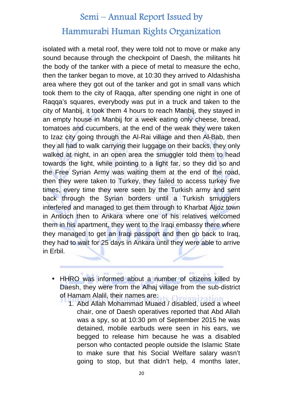isolated with a metal roof, they were told not to move or make any sound because through the checkpoint of Daesh, the militants hit the body of the tanker with a piece of metal to measure the echo, then the tanker began to move, at 10:30 they arrived to Aldashisha area where they got out of the tanker and got in small vans which took them to the city of Raqqa, after spending one night in one of Raqqa's squares, everybody was put in a truck and taken to the city of Manbij, it took them 4 hours to reach Manbij, they stayed in an empty house in Manbij for a week eating only cheese, bread, tomatoes and cucumbers, at the end of the weak they were taken to Izaz city going through the Al-Rai village and then Al-Bab, then they all had to walk carrying their luggage on their backs, they only walked at night, in an open area the smuggler told them to head towards the light, while pointing to a light far, so they did so and the Free Syrian Army was waiting them at the end of the road, then they were taken to Turkey, they failed to access turkey five times, every time they were seen by the Turkish army and sent back through the Syrian borders until a Turkish smugglers interfered and managed to get them through to Kharbat Aljoz town in Antioch then to Ankara where one of his relatives welcomed them in his apartment, they went to the Iraqi embassy there where they managed to get an Iraqi passport and then go back to Iraq, they had to wait for 25 days in Ankara until they were able to arrive in Erbil.

- HHRO was informed about a number of citizens killed by Daesh, they were from the Alhaj village from the sub-district of Hamam Alalil, their names are:
	- 1. Abd Allah Mohammad Muaed / disabled, used a wheel chair, one of Daesh operatives reported that Abd Allah was a spy, so at 10:30 pm of September 2015 he was detained, mobile earbuds were seen in his ears, we begged to release him because he was a disabled person who contacted people outside the Islamic State to make sure that his Social Welfare salary wasn't going to stop, but that didn't help, 4 months later,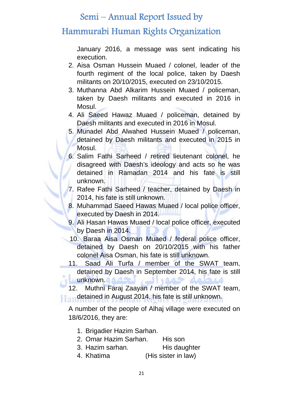# **Hammurabi Human Rights Organization**

January 2016, a message was sent indicating his execution.

- 2. Aisa Osman Hussein Muaed / colonel, leader of the fourth regiment of the local police, taken by Daesh militants on 20/10/2015, executed on 23/10/2015.
- 3. Muthanna Abd Alkarim Hussein Muaed / policeman, taken by Daesh militants and executed in 2016 in Mosul.
- 4. Ali Saeed Hawaz Muaed / policeman, detained by Daesh militants and executed in 2016 in Mosul.
- 5. Munadel Abd Alwahed Hussein Muaed / policeman, detained by Daesh militants and executed in 2015 in Mosul.
- 6. Salim Fathi Sarheed / retired lieutenant colonel, he disagreed with Daesh's ideology and acts so he was detained in Ramadan 2014 and his fate is still unknown.
- 7. Rafee Fathi Sarheed / teacher, detained by Daesh in 2014, his fate is still unknown.
- 8. Muhammad Saeed Hawas Muaed / local police officer, executed by Daesh in 2014.
- 9. Ali Hasan Hawas Muaed / local police officer, executed by Daesh in 2014.
- 10. Baraa Aisa Osman Muaed / federal police officer, detained by Daesh on 20/10/2015 with his father colonel Aisa Osman, his fate is still unknown.
- 11. Saad Ali Turfa / member of the SWAT team, detained by Daesh in September 2014, his fate is still **unknown. A strategie in the strategie of the strategie of the strategie of the strategie of the strategie of th** 15 dabis

12. Muthni Faraj Zaayan / member of the SWAT team, detained in August 2014, his fate is still unknown.

A number of the people of Alhaj village were executed on 18/6/2016, they are:

- 1. Brigadier Hazim Sarhan.
- 2. Omar Hazim Sarhan. His son
- 3. Hazim sarhan. His daughter
- 4. Khatima (His sister in law)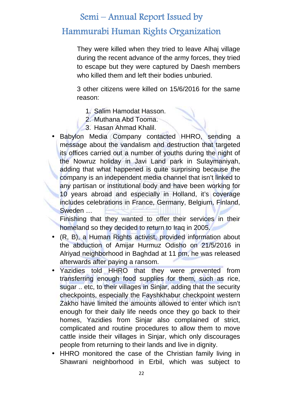# **Hammurabi Human Rights Organization**

They were killed when they tried to leave Alhaj village during the recent advance of the army forces, they tried to escape but they were captured by Daesh members who killed them and left their bodies unburied.

3 other citizens were killed on 15/6/2016 for the same reason:

- 1. Salim Hamodat Hasson.
- 2. Muthana Abd Tooma.
- 3. Hasan Ahmad Khalil.
- Babylon Media Company contacted HHRO, sending a message about the vandalism and destruction that targeted its offices carried out a number of youths during the night of the Nowruz holiday in Javi Land park in Sulaymaniyah, adding that what happened is quite surprising because the company is an independent media channel that isn't linked to any partisan or institutional body and have been working for 10 years abroad and especially in Holland, it's coverage includes celebrations in France, Germany, Belgium, Finland, Sweden …

Finishing that they wanted to offer their services in their homeland so they decided to return to Iraq in 2005.

- (R, B), a Human Rights activist, provided information about the abduction of Amijar Hurmuz Odisho on 21/5/2016 in Alriyad neighborhood in Baghdad at 11 pm, he was released afterwards after paying a ransom.
- Yazidies told HHRO that they were prevented from transferring enough food supplies for them, such as rice, sugar .. etc, to their villages in Sinjar, adding that the security checkpoints, especially the Fayshkhabur checkpoint western Zakho have limited the amounts allowed to enter which isn't enough for their daily life needs once they go back to their homes, Yazidies from Sinjar also complained of strict, complicated and routine procedures to allow them to move cattle inside their villages in Sinjar, which only discourages people from returning to their lands and live in dignity.
- HHRO monitored the case of the Christian family living in Shawrani neighborhood in Erbil, which was subject to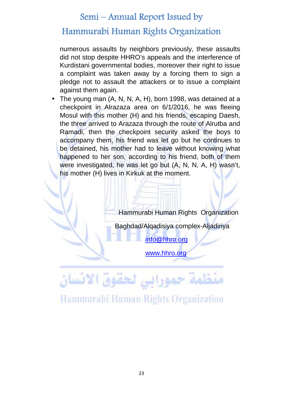#### **Hammurabi Human Rights Organization**

numerous assaults by neighbors previously, these assaults did not stop despite HHRO's appeals and the interference of Kurdistani governmental bodies, moreover their right to issue a complaint was taken away by a forcing them to sign a pledge not to assault the attackers or to issue a complaint against them again.

• The young man (A, N, N, A, H), born 1998, was detained at a checkpoint in Alrazaza area on 6/1/2016, he was fleeing Mosul with this mother (H) and his friends, escaping Daesh, the three arrived to Arazaza through the route of Alrutba and Ramadi, then the checkpoint security asked the boys to accompany them, his friend was let go but he continues to be detained, his mother had to leave without knowing what happened to her son, according to his friend, both of them were investigated, he was let go but (A, N, N, A, H) wasn't, his mother (H) lives in Kirkuk at the moment.

Hammurabi Human Rights Organization

Baghdad/Alqadisiya complex-Aljadiriya

info@hhro.org

www.hhro.org

منظمة حمورابي لحقوق الانسان

Hammurabi Human Rights Organization